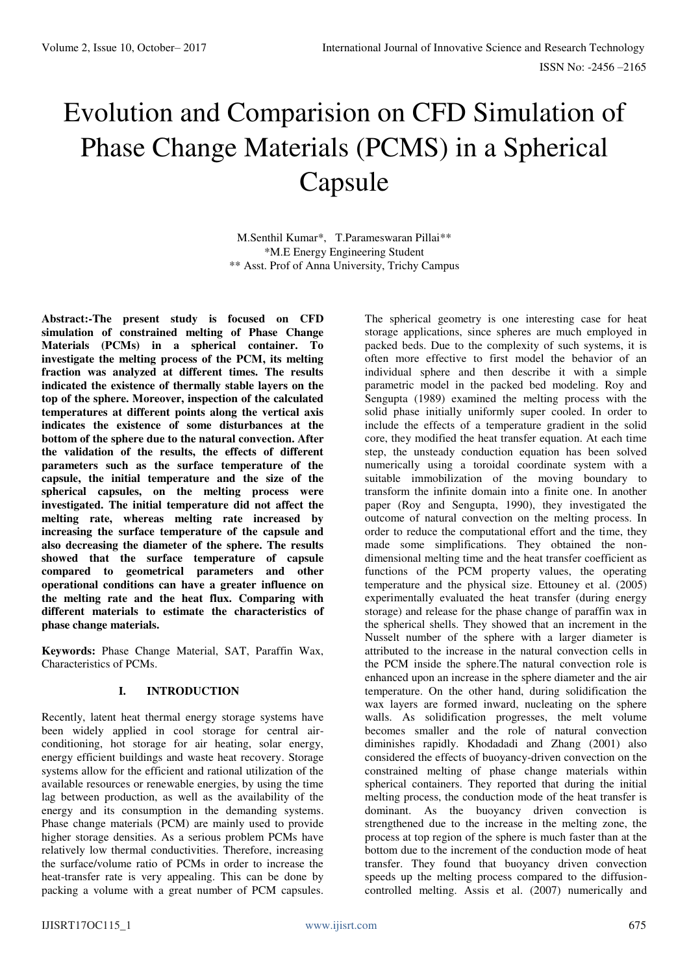# Evolution and Comparision on CFD Simulation of Phase Change Materials (PCMS) in a Spherical Capsule

M.Senthil Kumar\*, T.Parameswaran Pillai\*\* \*M.E Energy Engineering Student \*\* Asst. Prof of Anna University, Trichy Campus

**Abstract:-The present study is focused on CFD simulation of constrained melting of Phase Change Materials (PCMs) in a spherical container. To investigate the melting process of the PCM, its melting fraction was analyzed at different times. The results indicated the existence of thermally stable layers on the top of the sphere. Moreover, inspection of the calculated temperatures at different points along the vertical axis indicates the existence of some disturbances at the bottom of the sphere due to the natural convection. After the validation of the results, the effects of different parameters such as the surface temperature of the capsule, the initial temperature and the size of the spherical capsules, on the melting process were investigated. The initial temperature did not affect the melting rate, whereas melting rate increased by increasing the surface temperature of the capsule and also decreasing the diameter of the sphere. The results showed that the surface temperature of capsule compared to geometrical parameters and other operational conditions can have a greater influence on the melting rate and the heat flux. Comparing with different materials to estimate the characteristics of phase change materials.** 

**Keywords:** Phase Change Material, SAT, Paraffin Wax, Characteristics of PCMs.

## **I. INTRODUCTION**

Recently, latent heat thermal energy storage systems have been widely applied in cool storage for central airconditioning, hot storage for air heating, solar energy, energy efficient buildings and waste heat recovery. Storage systems allow for the efficient and rational utilization of the available resources or renewable energies, by using the time lag between production, as well as the availability of the energy and its consumption in the demanding systems. Phase change materials (PCM) are mainly used to provide higher storage densities. As a serious problem PCMs have relatively low thermal conductivities. Therefore, increasing the surface/volume ratio of PCMs in order to increase the heat-transfer rate is very appealing. This can be done by packing a volume with a great number of PCM capsules.

The spherical geometry is one interesting case for heat storage applications, since spheres are much employed in packed beds. Due to the complexity of such systems, it is often more effective to first model the behavior of an individual sphere and then describe it with a simple parametric model in the packed bed modeling. Roy and Sengupta (1989) examined the melting process with the solid phase initially uniformly super cooled. In order to include the effects of a temperature gradient in the solid core, they modified the heat transfer equation. At each time step, the unsteady conduction equation has been solved numerically using a toroidal coordinate system with a suitable immobilization of the moving boundary to transform the infinite domain into a finite one. In another paper (Roy and Sengupta, 1990), they investigated the outcome of natural convection on the melting process. In order to reduce the computational effort and the time, they made some simplifications. They obtained the nondimensional melting time and the heat transfer coefficient as functions of the PCM property values, the operating temperature and the physical size. Ettouney et al. (2005) experimentally evaluated the heat transfer (during energy storage) and release for the phase change of paraffin wax in the spherical shells. They showed that an increment in the Nusselt number of the sphere with a larger diameter is attributed to the increase in the natural convection cells in the PCM inside the sphere.The natural convection role is enhanced upon an increase in the sphere diameter and the air temperature. On the other hand, during solidification the wax layers are formed inward, nucleating on the sphere walls. As solidification progresses, the melt volume becomes smaller and the role of natural convection diminishes rapidly. Khodadadi and Zhang (2001) also considered the effects of buoyancy-driven convection on the constrained melting of phase change materials within spherical containers. They reported that during the initial melting process, the conduction mode of the heat transfer is dominant. As the buoyancy driven convection is strengthened due to the increase in the melting zone, the process at top region of the sphere is much faster than at the bottom due to the increment of the conduction mode of heat transfer. They found that buoyancy driven convection speeds up the melting process compared to the diffusioncontrolled melting. Assis et al. (2007) numerically and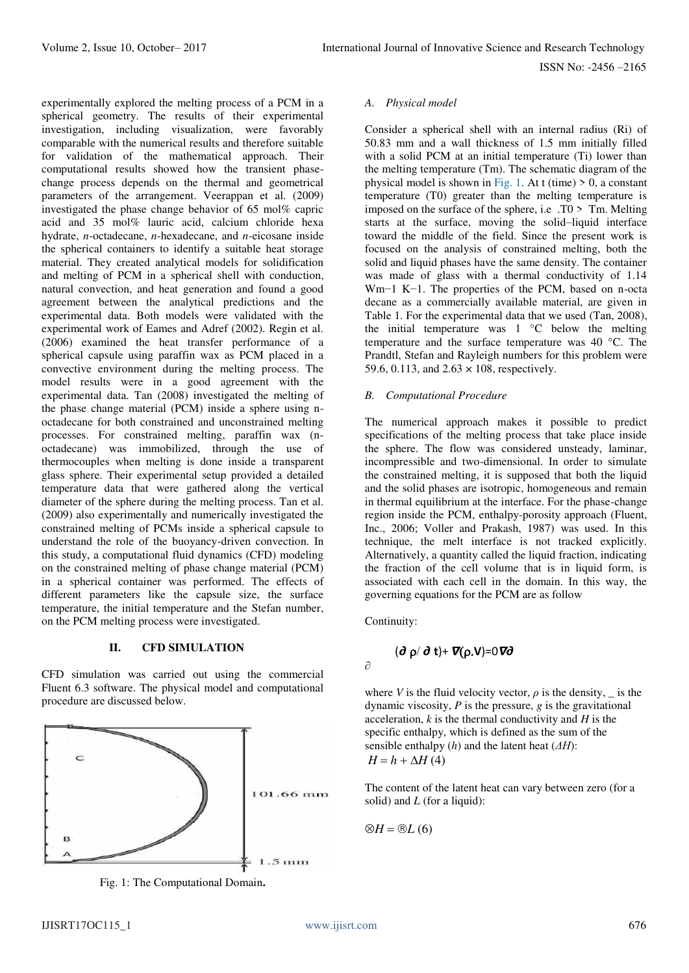ISSN No: -2456 –2165

experimentally explored the melting process of a PCM in a spherical geometry. The results of their experimental investigation, including visualization, were favorably comparable with the numerical results and therefore suitable for validation of the mathematical approach. Their computational results showed how the transient phasechange process depends on the thermal and geometrical parameters of the arrangement. Veerappan et al. (2009) investigated the phase change behavior of 65 mol% capric acid and 35 mol% lauric acid, calcium chloride hexa hydrate, *n*-octadecane, *n*-hexadecane, and *n*-eicosane inside the spherical containers to identify a suitable heat storage material. They created analytical models for solidification and melting of PCM in a spherical shell with conduction, natural convection, and heat generation and found a good agreement between the analytical predictions and the experimental data. Both models were validated with the experimental work of Eames and Adref (2002). Regin et al. (2006) examined the heat transfer performance of a spherical capsule using paraffin wax as PCM placed in a convective environment during the melting process. The model results were in a good agreement with the experimental data. Tan (2008) investigated the melting of the phase change material (PCM) inside a sphere using noctadecane for both constrained and unconstrained melting processes. For constrained melting, paraffin wax (noctadecane) was immobilized, through the use of thermocouples when melting is done inside a transparent glass sphere. Their experimental setup provided a detailed temperature data that were gathered along the vertical diameter of the sphere during the melting process. Tan et al. (2009) also experimentally and numerically investigated the constrained melting of PCMs inside a spherical capsule to understand the role of the buoyancy-driven convection. In this study, a computational fluid dynamics (CFD) modeling on the constrained melting of phase change material (PCM) in a spherical container was performed. The effects of different parameters like the capsule size, the surface temperature, the initial temperature and the Stefan number, on the PCM melting process were investigated.

## **II. CFD SIMULATION**

CFD simulation was carried out using the commercial Fluent 6.3 software. The physical model and computational procedure are discussed below.



Fig. 1: The Computational Domain**.**

#### *A. Physical model*

Consider a spherical shell with an internal radius (Ri) of 50.83 mm and a wall thickness of 1.5 mm initially filled with a solid PCM at an initial temperature (Ti) lower than the melting temperature (Tm). The schematic diagram of the physical model is shown in Fig. 1. At t (time)  $> 0$ , a constant temperature (T0) greater than the melting temperature is imposed on the surface of the sphere, i.e.  $\overline{TO}$  >  $\overline{T}m$ . Melting starts at the surface, moving the solid–liquid interface toward the middle of the field. Since the present work is focused on the analysis of constrained melting, both the solid and liquid phases have the same density. The container was made of glass with a thermal conductivity of 1.14 Wm−1 K−1. The properties of the PCM, based on n-octa decane as a commercially available material, are given in Table 1. For the experimental data that we used (Tan, 2008), the initial temperature was 1 °C below the melting temperature and the surface temperature was 40 °C. The Prandtl, Stefan and Rayleigh numbers for this problem were 59.6, 0.113, and  $2.63 \times 108$ , respectively.

## *B. Computational Procedure*

The numerical approach makes it possible to predict specifications of the melting process that take place inside the sphere. The flow was considered unsteady, laminar, incompressible and two-dimensional. In order to simulate the constrained melting, it is supposed that both the liquid and the solid phases are isotropic, homogeneous and remain in thermal equilibrium at the interface. For the phase-change region inside the PCM, enthalpy-porosity approach (Fluent, Inc., 2006; Voller and Prakash, 1987) was used. In this technique, the melt interface is not tracked explicitly. Alternatively, a quantity called the liquid fraction, indicating the fraction of the cell volume that is in liquid form, is associated with each cell in the domain. In this way, the governing equations for the PCM are as follow

Continuity:

∂

$$
(\partial \rho / \partial t) + \nabla (\rho . V) = 0 \nabla \partial
$$

where *V* is the fluid velocity vector,  $\rho$  is the density,  $\bar{\rho}$  is the dynamic viscosity, *P* is the pressure, *g* is the gravitational acceleration, *k* is the thermal conductivity and *H* is the specific enthalpy, which is defined as the sum of the sensible enthalpy (*h*) and the latent heat (*ΔH*):  $H = h + \Delta H(4)$ 

The content of the latent heat can vary between zero (for a solid) and *L* (for a liquid):

$$
\otimes H = \otimes L(6)
$$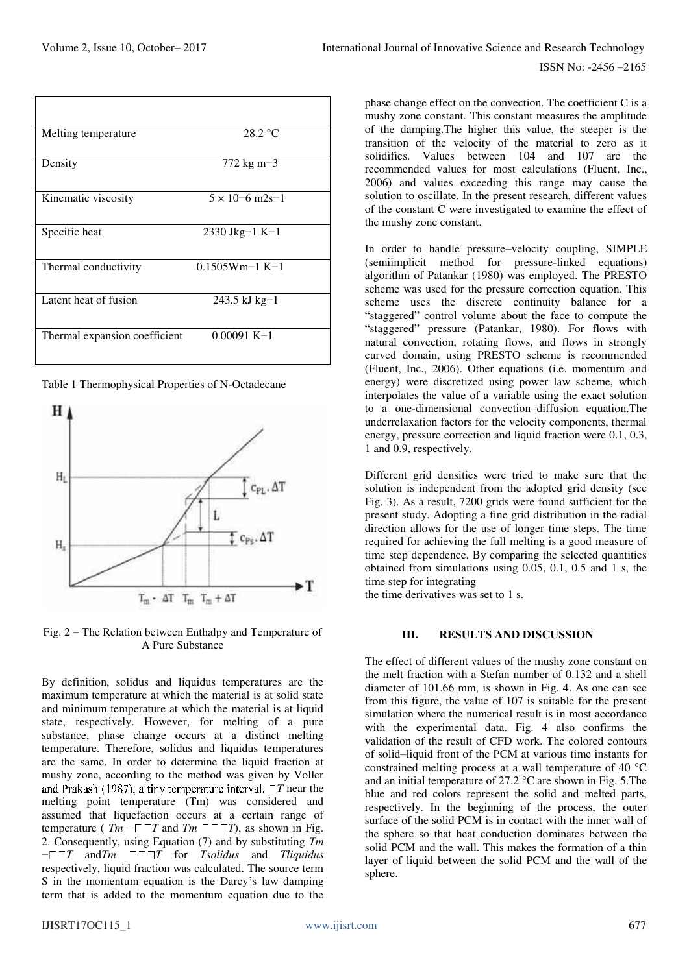| Melting temperature           | $28.2 \text{ °C}$              |  |
|-------------------------------|--------------------------------|--|
| Density                       | $772 \text{ kg} \text{ m} - 3$ |  |
| Kinematic viscosity           | $5 \times 10^{-6}$ m2s-1       |  |
| Specific heat                 | $2330$ Jkg-1 K-1               |  |
| Thermal conductivity          | $0.1505Wm-1 K-1$               |  |
| Latent heat of fusion         | 243.5 kJ kg-1                  |  |
| Thermal expansion coefficient | $0.00091 K-1$                  |  |

Table 1 Thermophysical Properties of N-Octadecane



Fig. 2 – The Relation between Enthalpy and Temperature of A Pure Substance

By definition, solidus and liquidus temperatures are the maximum temperature at which the material is at solid state and minimum temperature at which the material is at liquid state, respectively. However, for melting of a pure substance, phase change occurs at a distinct melting temperature. Therefore, solidus and liquidus temperatures are the same. In order to determine the liquid fraction at mushy zone, according to the method was given by Voller and Prakash (1987), a tiny temperature interval.  $T$  near the melting point temperature (Tm) was considered and assumed that liquefaction occurs at a certain range of temperature ( $Tm - T T$  and  $Tm = T T$ ), as shown in Fig. temperature ( $Tm - T$  and  $Tm$ <sup>-1</sup> 2. Consequently, using Equation (7) and by substituting *Tm*   $-T$  and  $Tm$   $T$   $T$  for *Tsolidus* and *Tliquidus* respectively, liquid fraction was calculated. The source term S in the momentum equation is the Darcy's law damping term that is added to the momentum equation due to the

phase change effect on the convection. The coefficient C is a mushy zone constant. This constant measures the amplitude of the damping.The higher this value, the steeper is the transition of the velocity of the material to zero as it solidifies. Values between 104 and 107 are the recommended values for most calculations (Fluent, Inc., 2006) and values exceeding this range may cause the solution to oscillate. In the present research, different values of the constant C were investigated to examine the effect of the mushy zone constant.

In order to handle pressure–velocity coupling, SIMPLE (semiimplicit method for pressure-linked equations) algorithm of Patankar (1980) was employed. The PRESTO scheme was used for the pressure correction equation. This scheme uses the discrete continuity balance for a "staggered" control volume about the face to compute the "staggered" pressure (Patankar, 1980). For flows with natural convection, rotating flows, and flows in strongly curved domain, using PRESTO scheme is recommended (Fluent, Inc., 2006). Other equations (i.e. momentum and energy) were discretized using power law scheme, which interpolates the value of a variable using the exact solution to a one-dimensional convection–diffusion equation.The underrelaxation factors for the velocity components, thermal energy, pressure correction and liquid fraction were 0.1, 0.3, 1 and 0.9, respectively.

Different grid densities were tried to make sure that the solution is independent from the adopted grid density (see Fig. 3). As a result, 7200 grids were found sufficient for the present study. Adopting a fine grid distribution in the radial direction allows for the use of longer time steps. The time required for achieving the full melting is a good measure of time step dependence. By comparing the selected quantities obtained from simulations using 0.05, 0.1, 0.5 and 1 s, the time step for integrating

the time derivatives was set to 1 s.

## **III. RESULTS AND DISCUSSION**

The effect of different values of the mushy zone constant on the melt fraction with a Stefan number of 0.132 and a shell diameter of 101.66 mm, is shown in Fig. 4. As one can see from this figure, the value of 107 is suitable for the present simulation where the numerical result is in most accordance with the experimental data. Fig. 4 also confirms the validation of the result of CFD work. The colored contours of solid–liquid front of the PCM at various time instants for constrained melting process at a wall temperature of 40 °C and an initial temperature of 27.2 °C are shown in Fig. 5.The blue and red colors represent the solid and melted parts, respectively. In the beginning of the process, the outer surface of the solid PCM is in contact with the inner wall of the sphere so that heat conduction dominates between the solid PCM and the wall. This makes the formation of a thin layer of liquid between the solid PCM and the wall of the sphere.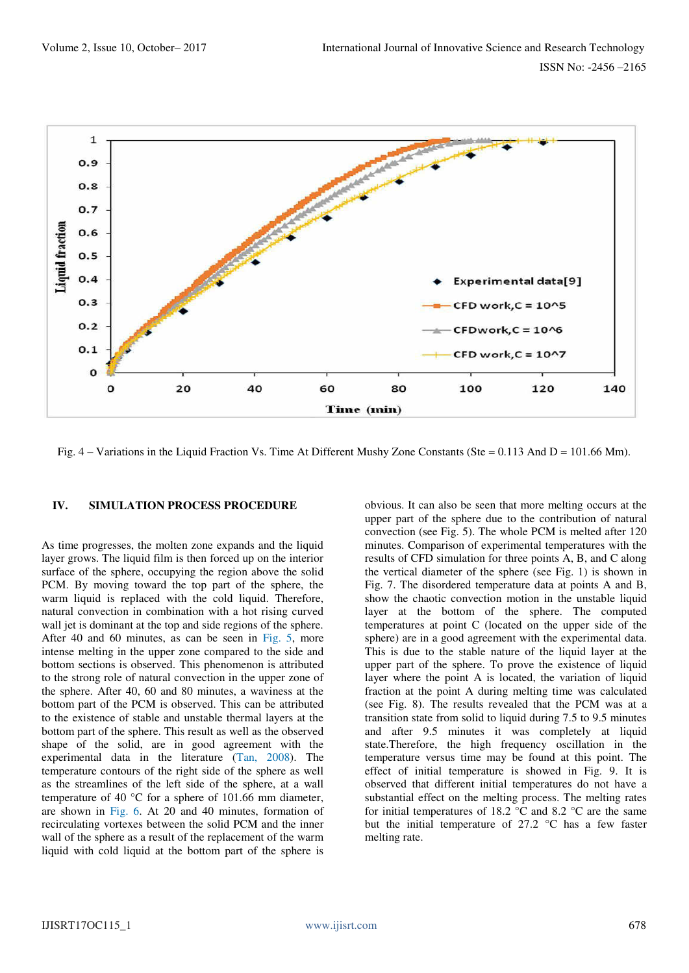

Fig. 4 – Variations in the Liquid Fraction Vs. Time At Different Mushy Zone Constants (Ste = 0.113 And D = 101.66 Mm).

#### **IV. SIMULATION PROCESS PROCEDURE**

As time progresses, the molten zone expands and the liquid layer grows. The liquid film is then forced up on the interior surface of the sphere, occupying the region above the solid PCM. By moving toward the top part of the sphere, the warm liquid is replaced with the cold liquid. Therefore, natural convection in combination with a hot rising curved wall jet is dominant at the top and side regions of the sphere. After 40 and 60 minutes, as can be seen in Fig. 5, more intense melting in the upper zone compared to the side and bottom sections is observed. This phenomenon is attributed to the strong role of natural convection in the upper zone of the sphere. After 40, 60 and 80 minutes, a waviness at the bottom part of the PCM is observed. This can be attributed to the existence of stable and unstable thermal layers at the bottom part of the sphere. This result as well as the observed shape of the solid, are in good agreement with the experimental data in the literature (Tan, 2008). The temperature contours of the right side of the sphere as well as the streamlines of the left side of the sphere, at a wall temperature of 40 °C for a sphere of 101.66 mm diameter, are shown in Fig. 6. At 20 and 40 minutes, formation of recirculating vortexes between the solid PCM and the inner wall of the sphere as a result of the replacement of the warm liquid with cold liquid at the bottom part of the sphere is

obvious. It can also be seen that more melting occurs at the upper part of the sphere due to the contribution of natural convection (see Fig. 5). The whole PCM is melted after 120 minutes. Comparison of experimental temperatures with the results of CFD simulation for three points A, B, and C along the vertical diameter of the sphere (see Fig. 1) is shown in Fig. 7. The disordered temperature data at points A and B, show the chaotic convection motion in the unstable liquid layer at the bottom of the sphere. The computed temperatures at point C (located on the upper side of the sphere) are in a good agreement with the experimental data. This is due to the stable nature of the liquid layer at the upper part of the sphere. To prove the existence of liquid layer where the point A is located, the variation of liquid fraction at the point A during melting time was calculated (see Fig. 8). The results revealed that the PCM was at a transition state from solid to liquid during 7.5 to 9.5 minutes and after 9.5 minutes it was completely at liquid state.Therefore, the high frequency oscillation in the temperature versus time may be found at this point. The effect of initial temperature is showed in Fig. 9. It is observed that different initial temperatures do not have a substantial effect on the melting process. The melting rates for initial temperatures of 18.2  $\degree$ C and 8.2  $\degree$ C are the same but the initial temperature of  $27.2 \text{ °C}$  has a few faster melting rate.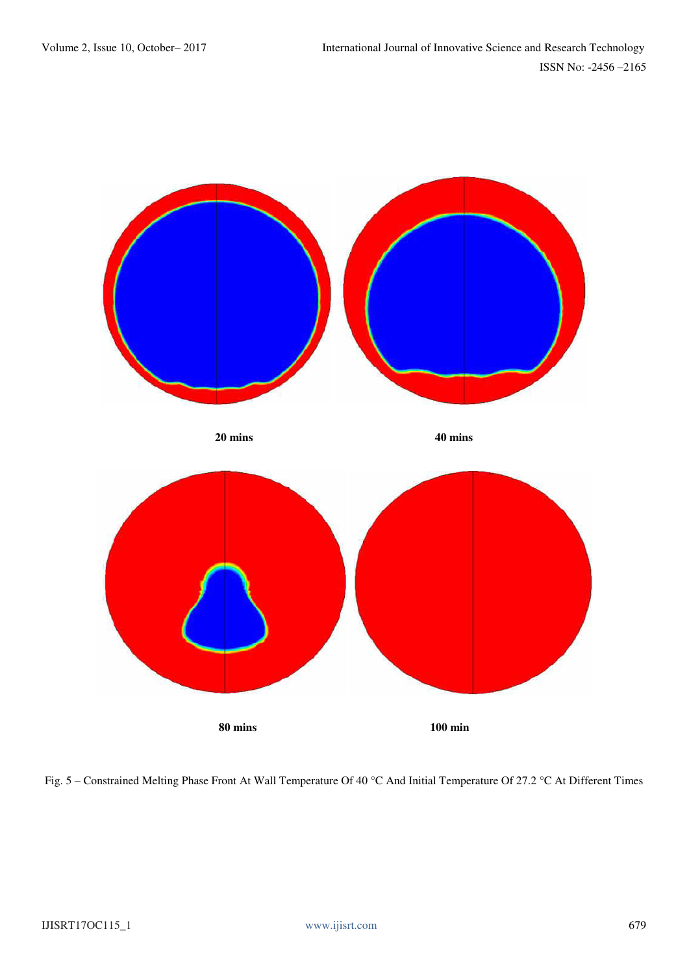

Fig. 5 – Constrained Melting Phase Front At Wall Temperature Of 40 °C And Initial Temperature Of 27.2 °C At Different Times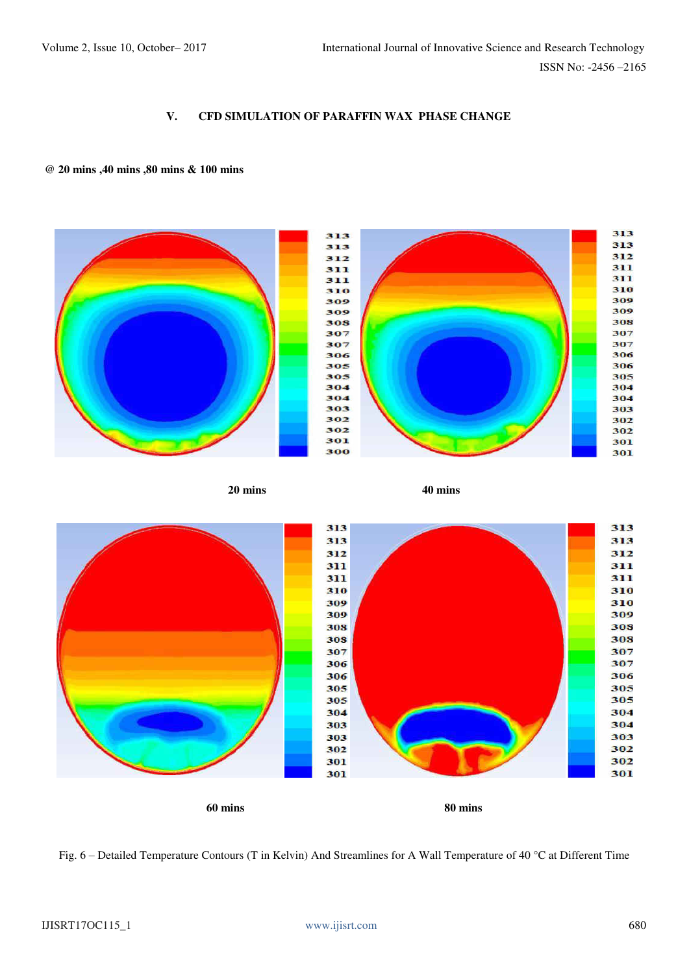## **V. CFD SIMULATION OF PARAFFIN WAX PHASE CHANGE**

## **@ 20 mins ,40 mins ,80 mins & 100 mins**



Fig. 6 – Detailed Temperature Contours (T in Kelvin) And Streamlines for A Wall Temperature of 40 °C at Different Time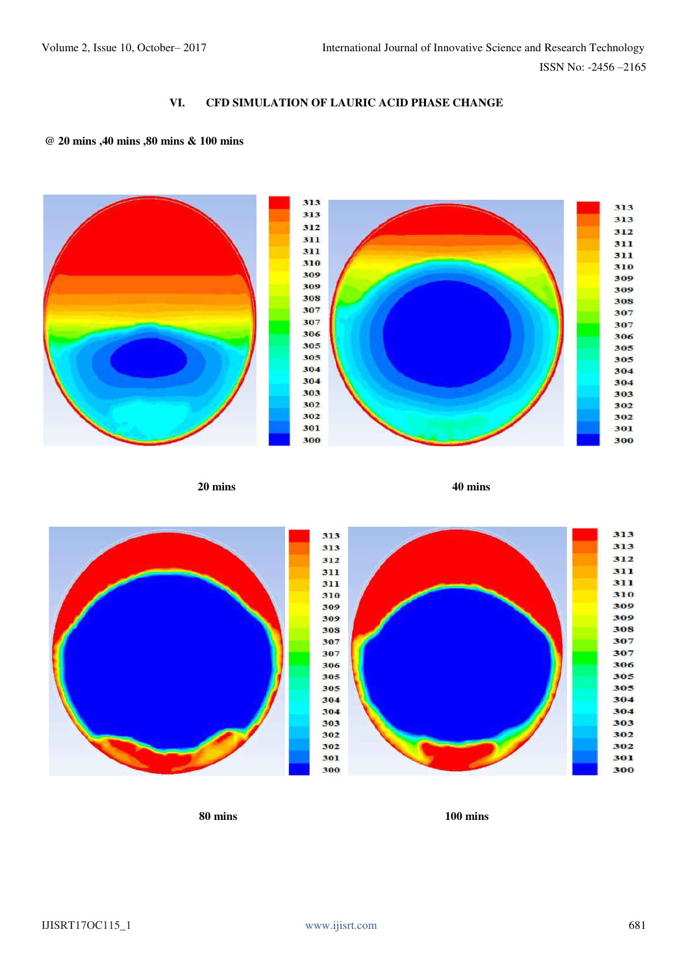## **VI. CFD SIMULATION OF LAURIC ACID PHASE CHANGE**

## **@ 20 mins ,40 mins ,80 mins & 100 mins**



**30S** 

**80 mins 100 mins**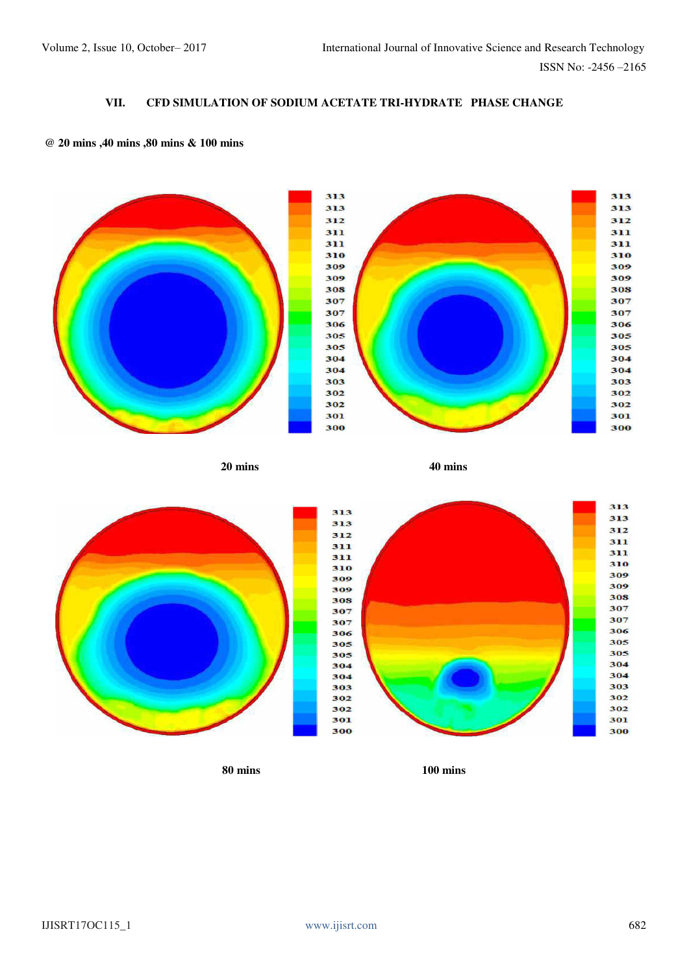# **VII. CFD SIMULATION OF SODIUM ACETATE TRI-HYDRATE PHASE CHANGE**

## **@ 20 mins ,40 mins ,80 mins & 100 mins**



**20 mins 40 mins** 



**80 mins 100 mins**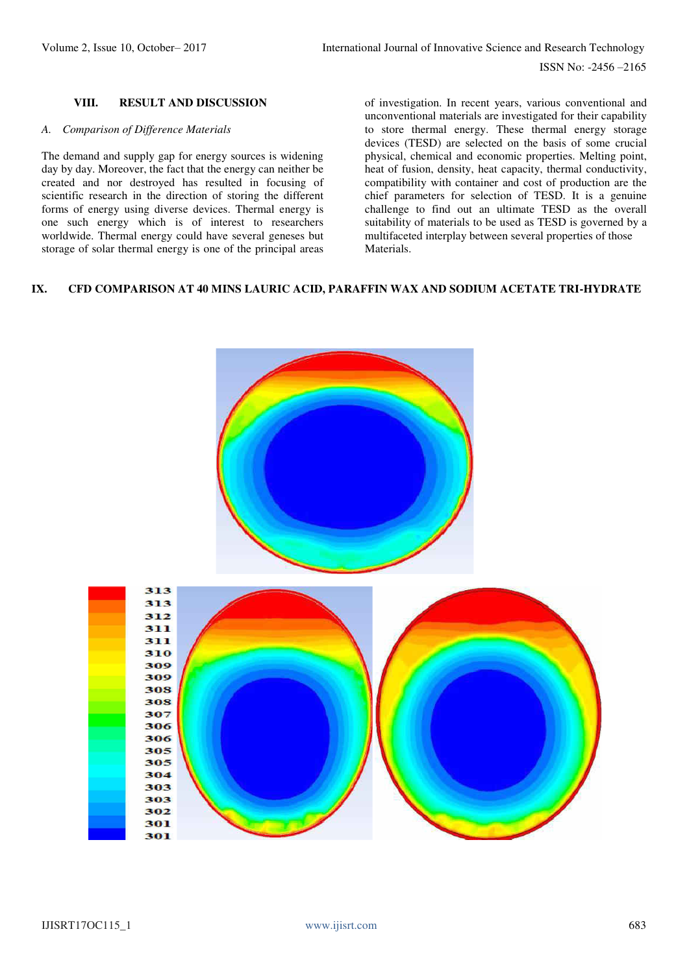ISSN No: -2456 –2165

## **VIII. RESULT AND DISCUSSION**

#### *A. Comparison of Difference Materials*

The demand and supply gap for energy sources is widening day by day. Moreover, the fact that the energy can neither be created and nor destroyed has resulted in focusing of scientific research in the direction of storing the different forms of energy using diverse devices. Thermal energy is one such energy which is of interest to researchers worldwide. Thermal energy could have several geneses but storage of solar thermal energy is one of the principal areas of investigation. In recent years, various conventional and unconventional materials are investigated for their capability to store thermal energy. These thermal energy storage devices (TESD) are selected on the basis of some crucial physical, chemical and economic properties. Melting point, heat of fusion, density, heat capacity, thermal conductivity, compatibility with container and cost of production are the chief parameters for selection of TESD. It is a genuine challenge to find out an ultimate TESD as the overall suitability of materials to be used as TESD is governed by a multifaceted interplay between several properties of those Materials.

## **IX. CFD COMPARISON AT 40 MINS LAURIC ACID, PARAFFIN WAX AND SODIUM ACETATE TRI-HYDRATE**

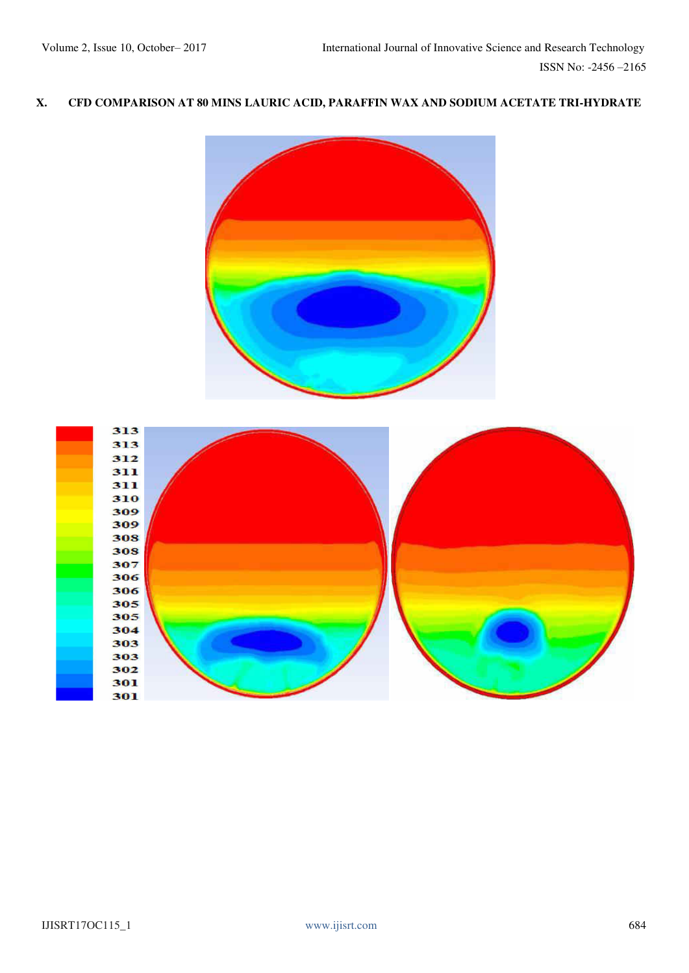# **X. CFD COMPARISON AT 80 MINS LAURIC ACID, PARAFFIN WAX AND SODIUM ACETATE TRI-HYDRATE**

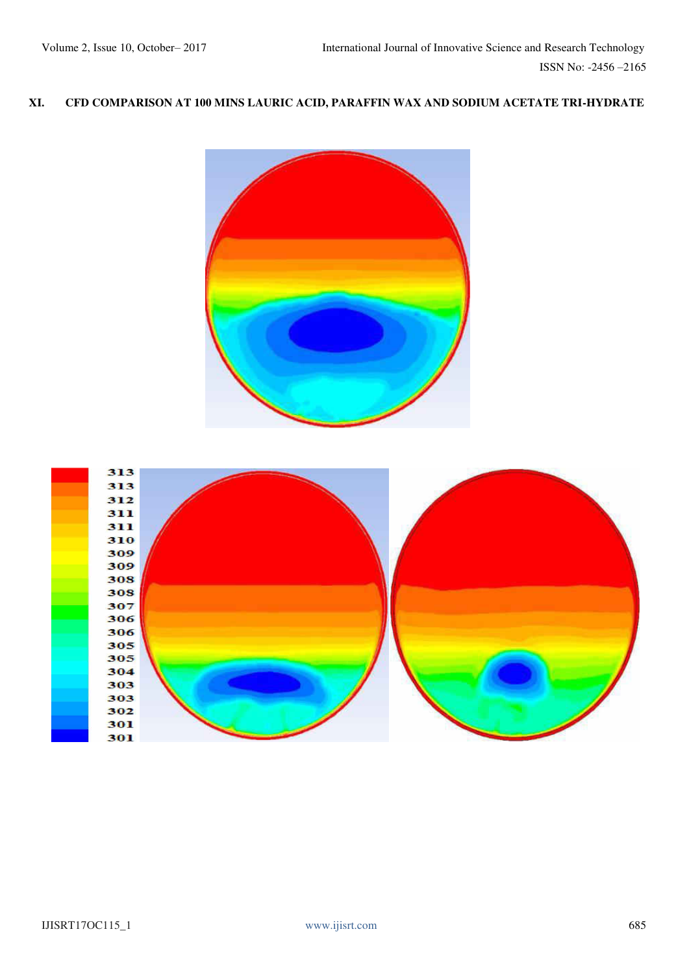# **XI. CFD COMPARISON AT 100 MINS LAURIC ACID, PARAFFIN WAX AND SODIUM ACETATE TRI-HYDRATE**



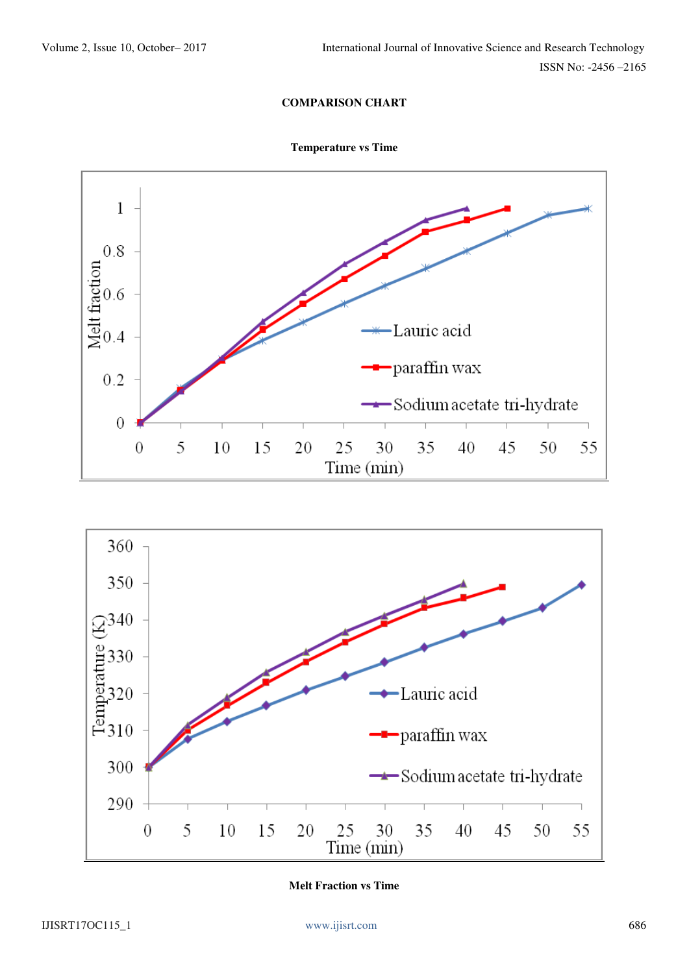## **COMPARISON CHART**







**Melt Fraction vs Time**